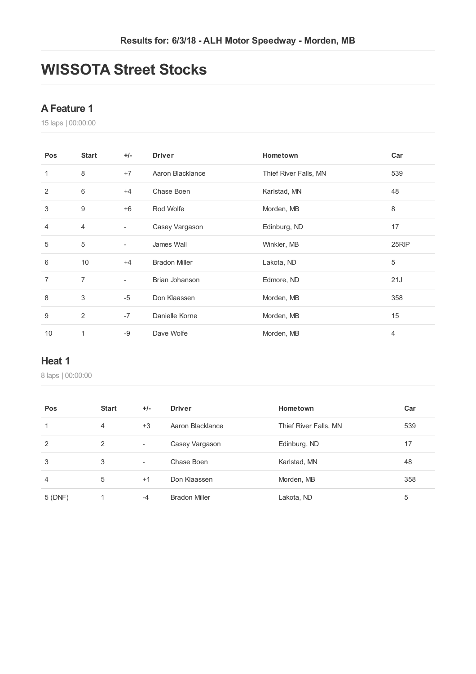# **WISSOTA Street Stocks**

#### **AFeature 1**

laps | 00:00:00

| Pos | <b>Start</b>   | $+/-$                    | <b>Driver</b>        | Hometown              | Car   |
|-----|----------------|--------------------------|----------------------|-----------------------|-------|
| 1   | 8              | $+7$                     | Aaron Blacklance     | Thief River Falls, MN | 539   |
| 2   | 6              | $+4$                     | Chase Boen           | Karlstad, MN          | 48    |
| 3   | 9              | $+6$                     | Rod Wolfe            | Morden, MB            | 8     |
| 4   | $\overline{4}$ | $\overline{\phantom{a}}$ | Casey Vargason       | Edinburg, ND          | 17    |
| 5   | 5              | $\overline{\phantom{a}}$ | James Wall           | Winkler, MB           | 25RIP |
| 6   | 10             | $+4$                     | <b>Bradon Miller</b> | Lakota, ND            | 5     |
| 7   | $\overline{7}$ | $\overline{\phantom{a}}$ | Brian Johanson       | Edmore, ND            | 21J   |
| 8   | 3              | $-5$                     | Don Klaassen         | Morden, MB            | 358   |
| 9   | 2              | $-7$                     | Danielle Korne       | Morden, MB            | 15    |
| 10  |                | $-9$                     | Dave Wolfe           | Morden, MB            | 4     |

#### **Heat 1**

| Pos            | <b>Start</b> | $+/-$                    | <b>Driver</b>        | Hometown              | Car |
|----------------|--------------|--------------------------|----------------------|-----------------------|-----|
| 1              | 4            | $+3$                     | Aaron Blacklance     | Thief River Falls, MN | 539 |
| 2              | 2            | $\overline{\phantom{a}}$ | Casey Vargason       | Edinburg, ND          | 17  |
| 3              | 3            | $\overline{\phantom{a}}$ | Chase Boen           | Karlstad, MN          | 48  |
| $\overline{4}$ | 5            | $+1$                     | Don Klaassen         | Morden, MB            | 358 |
| 5(DNF)         |              | -4                       | <b>Bradon Miller</b> | Lakota, ND            | 5   |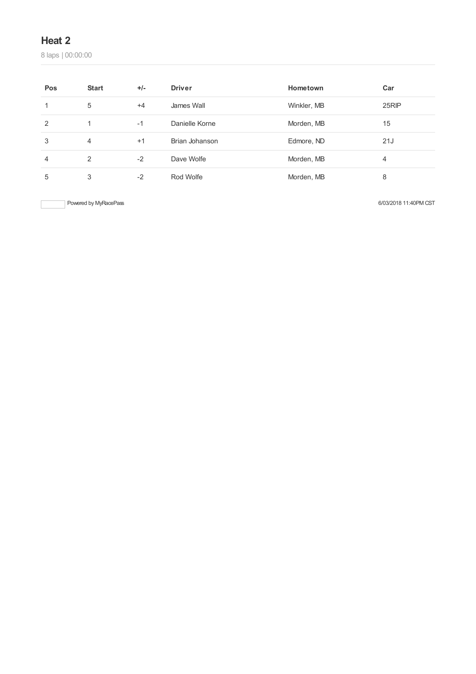laps | 00:00:00

| Pos            | <b>Start</b> | $+/-$ | <b>Driver</b>  | Hometown    | Car   |
|----------------|--------------|-------|----------------|-------------|-------|
|                | 5            | $+4$  | James Wall     | Winkler, MB | 25RIP |
| $\overline{2}$ | -1           | $-1$  | Danielle Korne | Morden, MB  | 15    |
| 3              | 4            | $+1$  | Brian Johanson | Edmore, ND  | 21J   |
| 4              | 2            | $-2$  | Dave Wolfe     | Morden, MB  | 4     |
| 5              | 3            | $-2$  | Rod Wolfe      | Morden, MB  | 8     |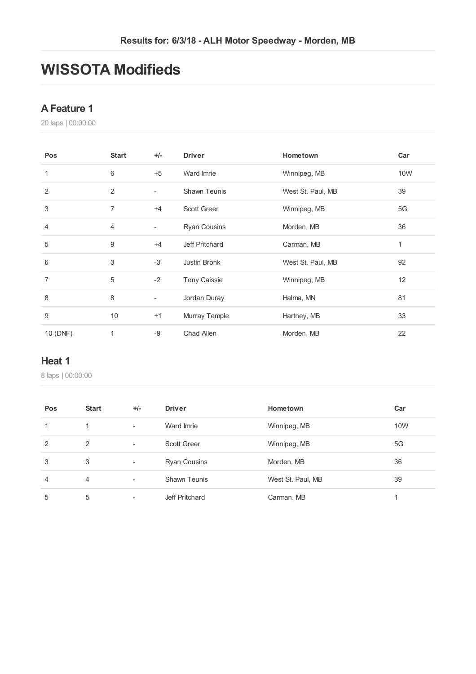# **WISSOTA Modifieds**

#### **AFeature 1**

laps | 00:00:00

| Pos            | <b>Start</b>   | $+/-$                    | <b>Driver</b>       | Hometown          | Car |
|----------------|----------------|--------------------------|---------------------|-------------------|-----|
| 1              | 6              | $+5$                     | Ward Imrie          | Winnipeg, MB      | 10W |
| 2              | 2              | $\overline{\phantom{a}}$ | Shawn Teunis        | West St. Paul, MB | 39  |
| 3              | $\overline{7}$ | $+4$                     | <b>Scott Greer</b>  | Winnipeg, MB      | 5G  |
| $\overline{4}$ | 4              | $\overline{\phantom{a}}$ | <b>Ryan Cousins</b> | Morden, MB        | 36  |
| 5              | 9              | $+4$                     | Jeff Pritchard      | Carman, MB        | 1   |
| 6              | 3              | $-3$                     | Justin Bronk        | West St. Paul, MB | 92  |
| $\overline{7}$ | 5              | $-2$                     | <b>Tony Caissie</b> | Winnipeg, MB      | 12  |
| 8              | 8              | $\overline{\phantom{a}}$ | Jordan Duray        | Halma, MN         | 81  |
| 9              | 10             | $+1$                     | Murray Temple       | Hartney, MB       | 33  |
| 10 (DNF)       | $\mathbf{1}$   | $-9$                     | Chad Allen          | Morden, MB        | 22  |

#### **Heat 1**

| Pos            | <b>Start</b> | $+/-$                    | <b>Driver</b>       | Hometown          | Car |
|----------------|--------------|--------------------------|---------------------|-------------------|-----|
| 1              | 1            | $\overline{\phantom{a}}$ | Ward Imrie          | Winnipeg, MB      | 10W |
| 2              | 2            | $\overline{\phantom{a}}$ | Scott Greer         | Winnipeg, MB      | 5G  |
| 3              | 3            | $\overline{\phantom{a}}$ | <b>Ryan Cousins</b> | Morden, MB        | 36  |
| $\overline{4}$ | 4            | $\overline{\phantom{a}}$ | <b>Shawn Teunis</b> | West St. Paul, MB | 39  |
| 5              | 5            | $\overline{\phantom{a}}$ | Jeff Pritchard      | Carman, MB        |     |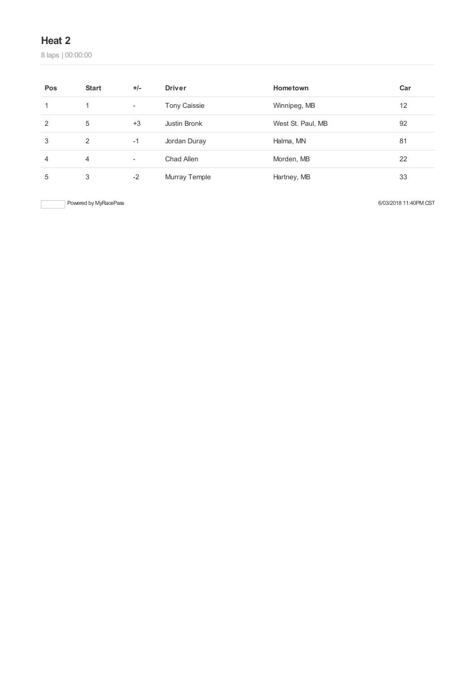laps | 00:00:00

| Pos | <b>Start</b> | $+/-$                    | <b>Driver</b>       | Hometown          | Car |
|-----|--------------|--------------------------|---------------------|-------------------|-----|
|     | 1            | $\overline{\phantom{a}}$ | <b>Tony Caissie</b> | Winnipeg, MB      | 12  |
| 2   | 5            | $+3$                     | Justin Bronk        | West St. Paul, MB | 92  |
| 3   | 2            | $-1$                     | Jordan Duray        | Halma, MN         | 81  |
| 4   | 4            | $\overline{\phantom{a}}$ | Chad Allen          | Morden, MB        | 22  |
| 5   | 3            | $-2$                     | Murray Temple       | Hartney, MB       | 33  |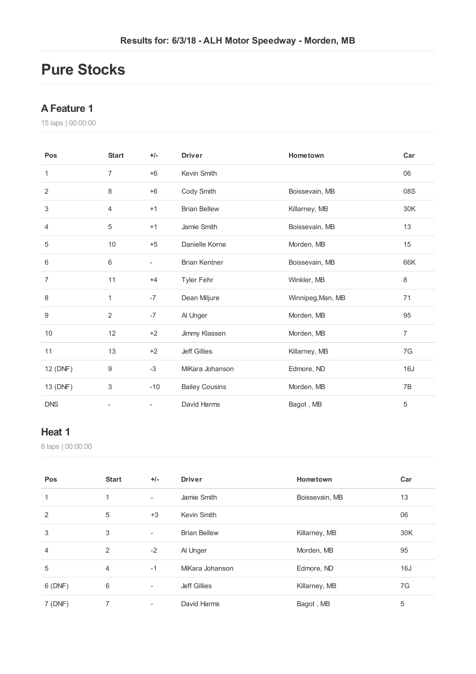# **Pure Stocks**

#### **AFeature 1**

laps | 00:00:00

| Pos            | <b>Start</b>   | $+/-$                    | <b>Driver</b>         | Hometown          | Car            |
|----------------|----------------|--------------------------|-----------------------|-------------------|----------------|
| 1              | 7              | $+6$                     | Kevin Smith           |                   | 06             |
| $\overline{2}$ | 8              | $+6$                     | Cody Smith            | Boissevain, MB    | 08S            |
| 3              | 4              | $+1$                     | <b>Brian Bellew</b>   | Killarney, MB     | 30K            |
| $\overline{4}$ | $\sqrt{5}$     | $+1$                     | Jamie Smith           | Boissevain, MB    | 13             |
| 5              | 10             | $+5$                     | Danielle Korne        | Morden, MB        | 15             |
| 6              | 6              | $\overline{\phantom{0}}$ | <b>Brian Kentner</b>  | Boissevain, MB    | 66K            |
| $\overline{7}$ | 11             | $+4$                     | Tyler Fehr            | Winkler, MB       | 8              |
| 8              | 1              | $-7$                     | Dean Miljure          | Winnipeg, Man, MB | 71             |
| 9              | $\overline{2}$ | $-7$                     | Al Unger              | Morden, MB        | 95             |
| 10             | 12             | $+2$                     | Jimmy Klassen         | Morden, MB        | $\overline{7}$ |
| 11             | 13             | $+2$                     | <b>Jeff Gillies</b>   | Killarney, MB     | 7G             |
| 12 (DNF)       | 9              | $-3$                     | MiKara Johanson       | Edmore, ND        | 16J            |
| 13 (DNF)       | 3              | $-10$                    | <b>Bailey Cousins</b> | Morden, MB        | 7B             |
| <b>DNS</b>     |                |                          | David Harms           | Bagot, MB         | 5              |

### **Heat 1**

| Pos            | <b>Start</b> | $+/-$                    | <b>Driver</b>       | Hometown       | Car |
|----------------|--------------|--------------------------|---------------------|----------------|-----|
| 1              | 1            | ٠                        | Jamie Smith         | Boissevain, MB | 13  |
| 2              | 5            | $+3$                     | Kevin Smith         |                | 06  |
| 3              | 3            | ۰                        | <b>Brian Bellew</b> | Killarney, MB  | 30K |
| $\overline{4}$ | 2            | $-2$                     | Al Unger            | Morden, MB     | 95  |
| 5              | 4            | $-1$                     | MiKara Johanson     | Edmore, ND     | 16J |
| 6 (DNF)        | 6            | $\overline{\phantom{a}}$ | <b>Jeff Gillies</b> | Killarney, MB  | 7G  |
| 7 (DNF)        |              | $\overline{\phantom{a}}$ | David Harms         | Bagot, MB      | 5   |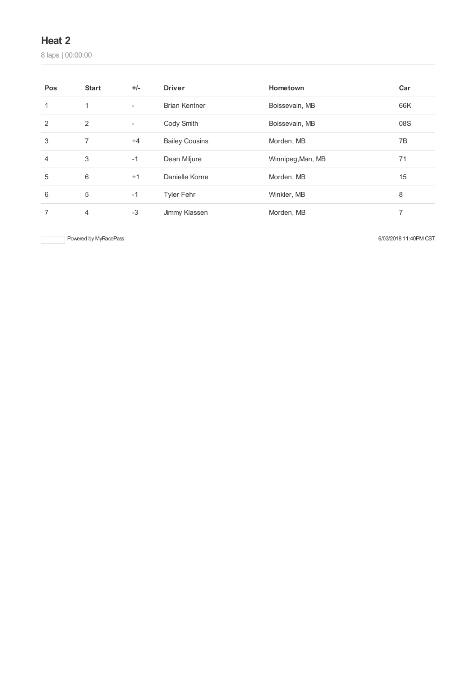laps | 00:00:00

| Pos | <b>Start</b>   | $+/-$                    | <b>Driver</b>         | Hometown          | Car |
|-----|----------------|--------------------------|-----------------------|-------------------|-----|
|     | 1              | $\blacksquare$           | <b>Brian Kentner</b>  | Boissevain, MB    | 66K |
| 2   | 2              | $\overline{\phantom{a}}$ | Cody Smith            | Boissevain, MB    | 08S |
| 3   | $\overline{7}$ | $+4$                     | <b>Bailey Cousins</b> | Morden, MB        | 7B  |
| 4   | 3              | $-1$                     | Dean Miljure          | Winnipeg, Man, MB | 71  |
| 5   | 6              | $+1$                     | Danielle Korne        | Morden, MB        | 15  |
| 6   | 5              | $-1$                     | <b>Tyler Fehr</b>     | Winkler, MB       | 8   |
|     | 4              | $-3$                     | Jimmy Klassen         | Morden, MB        | 7   |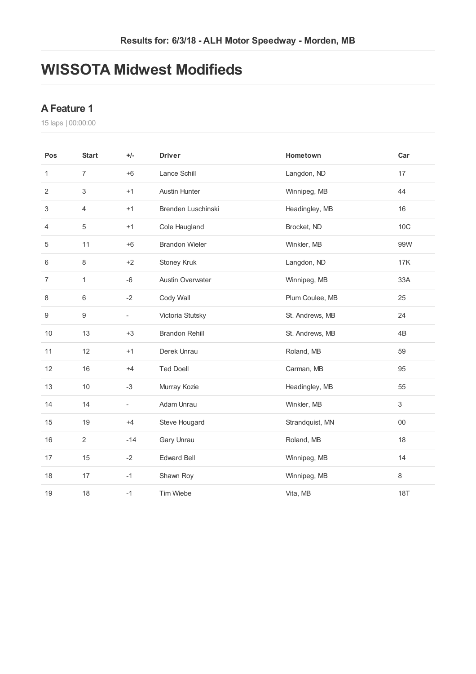# **WISSOTA Midwest Modifieds**

#### **AFeature 1**

| Pos            | <b>Start</b>   | $+/-$                    | <b>Driver</b>           | Hometown        | Car             |
|----------------|----------------|--------------------------|-------------------------|-----------------|-----------------|
| 1              | $\overline{7}$ | $+6$                     | Lance Schill            | Langdon, ND     | 17              |
| 2              | 3              | $+1$                     | <b>Austin Hunter</b>    | Winnipeg, MB    | 44              |
| 3              | $\overline{4}$ | $+1$                     | Brenden Luschinski      | Headingley, MB  | 16              |
| 4              | $\sqrt{5}$     | $+1$                     | Cole Haugland           | Brocket, ND     | 10 <sup>C</sup> |
| 5              | 11             | $+6$                     | <b>Brandon Wieler</b>   | Winkler, MB     | 99W             |
| 6              | 8              | $+2$                     | Stoney Kruk             | Langdon, ND     | 17K             |
| $\overline{7}$ | $\mathbf{1}$   | $-6$                     | <b>Austin Overwater</b> | Winnipeg, MB    | 33A             |
| 8              | 6              | $-2$                     | Cody Wall               | Plum Coulee, MB | 25              |
| 9              | 9              | $\blacksquare$           | Victoria Stutsky        | St. Andrews, MB | 24              |
| 10             | 13             | $+3$                     | <b>Brandon Rehill</b>   | St. Andrews, MB | 4B              |
| 11             | 12             | $+1$                     | Derek Unrau             | Roland, MB      | 59              |
| 12             | 16             | $+4$                     | <b>Ted Doell</b>        | Carman, MB      | 95              |
| 13             | 10             | $-3$                     | Murray Kozie            | Headingley, MB  | 55              |
| 14             | 14             | $\overline{\phantom{a}}$ | Adam Unrau              | Winkler, MB     | 3               |
| 15             | 19             | $+4$                     | Steve Hougard           | Strandquist, MN | $00\,$          |
| 16             | $\overline{2}$ | $-14$                    | Gary Unrau              | Roland, MB      | 18              |
| 17             | 15             | $-2$                     | <b>Edward Bell</b>      | Winnipeg, MB    | 14              |
| 18             | 17             | $-1$                     | Shawn Roy               | Winnipeg, MB    | 8               |
| 19             | 18             | $-1$                     | <b>Tim Wiebe</b>        | Vita, MB        | <b>18T</b>      |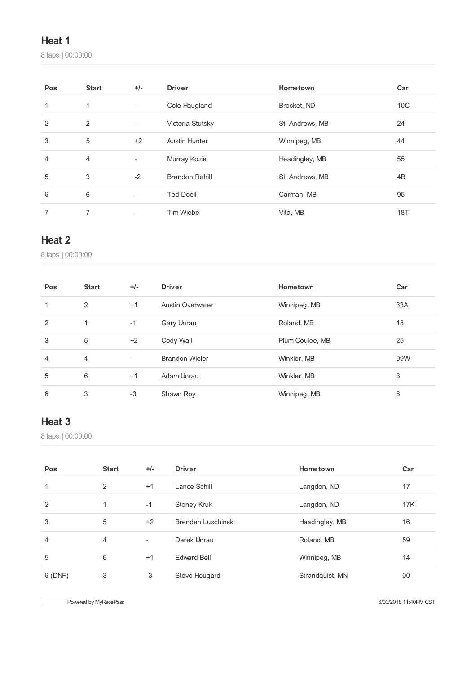laps | 00:00:00

| Pos | <b>Start</b> | $+/-$                    | <b>Driver</b>         | Hometown        | Car             |
|-----|--------------|--------------------------|-----------------------|-----------------|-----------------|
| 1   | 1            | $\blacksquare$           | Cole Haugland         | Brocket, ND     | 10 <sup>C</sup> |
| 2   | 2            | $\overline{\phantom{a}}$ | Victoria Stutsky      | St. Andrews, MB | 24              |
| 3   | 5            | $+2$                     | Austin Hunter         | Winnipeg, MB    | 44              |
| 4   | 4            | -                        | Murray Kozie          | Headingley, MB  | 55              |
| 5   | 3            | $-2$                     | <b>Brandon Rehill</b> | St. Andrews, MB | 4B              |
| 6   | 6            | $\overline{\phantom{a}}$ | <b>Ted Doell</b>      | Carman, MB      | 95              |
|     | 7            | -                        | <b>Tim Wiebe</b>      | Vita, MB        | 18T             |

#### **Heat 2**

laps | 00:00:00

| Pos            | <b>Start</b>   | $+/-$                    | <b>Driver</b>           | Hometown        | Car |
|----------------|----------------|--------------------------|-------------------------|-----------------|-----|
| 1              | 2              | $+1$                     | <b>Austin Overwater</b> | Winnipeg, MB    | 33A |
| 2              | 1              | $-1$                     | Gary Unrau              | Roland, MB      | 18  |
| 3              | 5              | $+2$                     | Cody Wall               | Plum Coulee, MB | 25  |
| $\overline{4}$ | $\overline{4}$ | $\overline{\phantom{0}}$ | <b>Brandon Wieler</b>   | Winkler, MB     | 99W |
| 5              | 6              | $+1$                     | Adam Unrau              | Winkler, MB     | 3   |
| 6              | 3              | $-3$                     | Shawn Roy               | Winnipeg, MB    | 8   |

#### **Heat 3**

laps | 00:00:00

| Pos            | <b>Start</b> | $+/-$ | <b>Driver</b>      | Hometown        | Car        |
|----------------|--------------|-------|--------------------|-----------------|------------|
| 1              | 2            | $+1$  | Lance Schill       | Langdon, ND     | 17         |
| $\overline{2}$ | 1            | $-1$  | <b>Stoney Kruk</b> | Langdon, ND     | <b>17K</b> |
| 3              | 5            | $+2$  | Brenden Luschinski | Headingley, MB  | 16         |
| 4              | 4            | ٠     | Derek Unrau        | Roland, MB      | 59         |
| 5              | 6            | $+1$  | <b>Edward Bell</b> | Winnipeg, MB    | 14         |
| 6(DNF)         | 3            | $-3$  | Steve Hougard      | Strandquist, MN | 00         |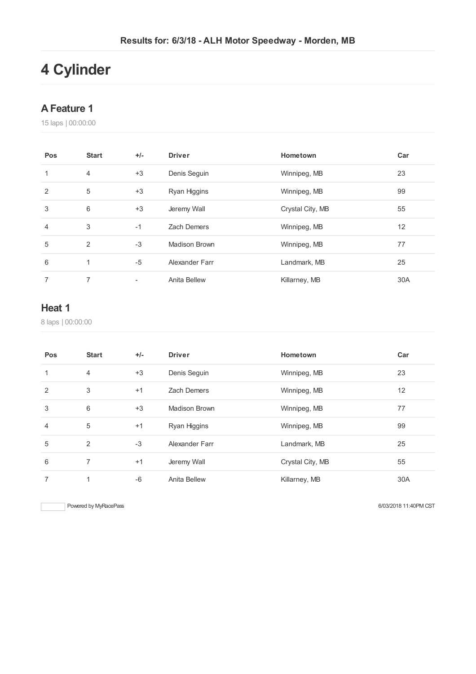# **Cylinder**

#### **AFeature 1**

laps | 00:00:00

| Pos | <b>Start</b>   | $+/-$ | <b>Driver</b>  | Hometown         | Car |
|-----|----------------|-------|----------------|------------------|-----|
| 1   | $\overline{4}$ | $+3$  | Denis Seguin   | Winnipeg, MB     | 23  |
| 2   | 5              | $+3$  | Ryan Higgins   | Winnipeg, MB     | 99  |
| 3   | 6              | $+3$  | Jeremy Wall    | Crystal City, MB | 55  |
| 4   | 3              | $-1$  | Zach Demers    | Winnipeg, MB     | 12  |
| 5   | 2              | $-3$  | Madison Brown  | Winnipeg, MB     | 77  |
| 6   | 1              | $-5$  | Alexander Farr | Landmark, MB     | 25  |
| 7   | 7              |       | Anita Bellew   | Killarney, MB    | 30A |

### **Heat 1**

laps | 00:00:00

| Pos            | <b>Start</b> | $+/-$ | <b>Driver</b>        | Hometown         | Car |
|----------------|--------------|-------|----------------------|------------------|-----|
| 1              | 4            | $+3$  | Denis Seguin         | Winnipeg, MB     | 23  |
| 2              | 3            | $+1$  | <b>Zach Demers</b>   | Winnipeg, MB     | 12  |
| 3              | 6            | $+3$  | <b>Madison Brown</b> | Winnipeg, MB     | 77  |
| $\overline{4}$ | 5            | $+1$  | Ryan Higgins         | Winnipeg, MB     | 99  |
| 5              | 2            | $-3$  | Alexander Farr       | Landmark, MB     | 25  |
| 6              | 7            | $+1$  | Jeremy Wall          | Crystal City, MB | 55  |
| 7              | 1            | $-6$  | Anita Bellew         | Killarney, MB    | 30A |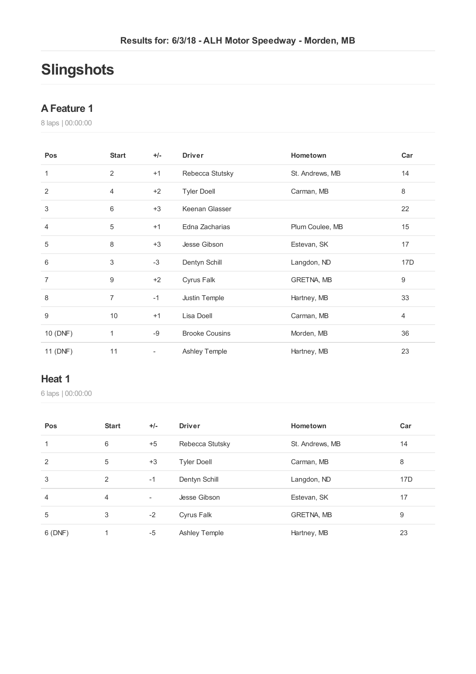# **Slingshots**

#### **AFeature 1**

laps | 00:00:00

| Pos            | <b>Start</b>   | $+/-$                    | <b>Driver</b>         | Hometown        | Car              |
|----------------|----------------|--------------------------|-----------------------|-----------------|------------------|
| 1              | $\overline{2}$ | $+1$                     | Rebecca Stutsky       | St. Andrews, MB | 14               |
| 2              | 4              | $+2$                     | <b>Tyler Doell</b>    | Carman, MB      | 8                |
| $\sqrt{3}$     | 6              | $+3$                     | Keenan Glasser        |                 | 22               |
| $\overline{4}$ | 5              | $+1$                     | Edna Zacharias        | Plum Coulee, MB | 15               |
| 5              | 8              | $+3$                     | Jesse Gibson          | Estevan, SK     | 17               |
| 6              | 3              | $-3$                     | Dentyn Schill         | Langdon, ND     | 17D              |
| $\overline{7}$ | 9              | $+2$                     | Cyrus Falk            | GRETNA, MB      | $\boldsymbol{9}$ |
| 8              | $\overline{7}$ | $-1$                     | Justin Temple         | Hartney, MB     | 33               |
| 9              | 10             | $+1$                     | Lisa Doell            | Carman, MB      | 4                |
| 10 (DNF)       | 1              | -9                       | <b>Brooke Cousins</b> | Morden, MB      | 36               |
| 11 (DNF)       | 11             | $\overline{\phantom{a}}$ | Ashley Temple         | Hartney, MB     | 23               |

#### **Heat 1**

| Pos            | <b>Start</b> | $+/-$                    | <b>Driver</b>        | Hometown          | Car |
|----------------|--------------|--------------------------|----------------------|-------------------|-----|
| 1              | 6            | $+5$                     | Rebecca Stutsky      | St. Andrews, MB   | 14  |
| 2              | 5            | $+3$                     | <b>Tyler Doell</b>   | Carman, MB        | 8   |
| 3              | 2            | $-1$                     | Dentyn Schill        | Langdon, ND       | 17D |
| $\overline{4}$ | 4            | $\overline{\phantom{a}}$ | Jesse Gibson         | Estevan, SK       | 17  |
| 5              | 3            | $-2$                     | Cyrus Falk           | <b>GRETNA, MB</b> | 9   |
| 6(DNF)         |              | $-5$                     | <b>Ashley Temple</b> | Hartney, MB       | 23  |